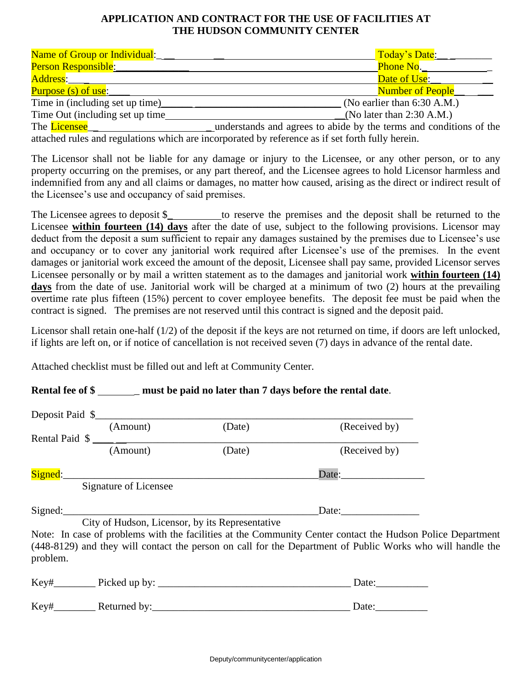#### **APPLICATION AND CONTRACT FOR THE USE OF FACILITIES AT THE HUDSON COMMUNITY CENTER**

| Name of Group or Individual:    | Today's Date:                 |  |
|---------------------------------|-------------------------------|--|
| <b>Person Responsible:</b>      | Phone No.                     |  |
| Address:____                    | Date of Use:                  |  |
| <b>Purpose (s) of use:</b>      | Number of People              |  |
| Time in (including set up time) | (No earlier than $6:30$ A.M.) |  |
| Time Out (including set up time | (No later than $2:30$ A.M.)   |  |

The Licensee The License and License and License and License and Conditions of the License and conditions of the License and conditions of the License and Conditions of the License and Conditions of the License and Conditi attached rules and regulations which are incorporated by reference as if set forth fully herein.

The Licensor shall not be liable for any damage or injury to the Licensee, or any other person, or to any property occurring on the premises, or any part thereof, and the Licensee agrees to hold Licensor harmless and indemnified from any and all claims or damages, no matter how caused, arising as the direct or indirect result of the Licensee's use and occupancy of said premises.

The Licensee agrees to deposit \$\_ to reserve the premises and the deposit shall be returned to the Licensee **within fourteen (14) days** after the date of use, subject to the following provisions. Licensor may deduct from the deposit a sum sufficient to repair any damages sustained by the premises due to Licensee's use and occupancy or to cover any janitorial work required after Licensee's use of the premises. In the event damages or janitorial work exceed the amount of the deposit, Licensee shall pay same, provided Licensor serves Licensee personally or by mail a written statement as to the damages and janitorial work **within fourteen (14) days** from the date of use. Janitorial work will be charged at a minimum of two (2) hours at the prevailing overtime rate plus fifteen (15%) percent to cover employee benefits. The deposit fee must be paid when the contract is signed. The premises are not reserved until this contract is signed and the deposit paid.

Licensor shall retain one-half (1/2) of the deposit if the keys are not returned on time, if doors are left unlocked, if lights are left on, or if notice of cancellation is not received seven (7) days in advance of the rental date.

Attached checklist must be filled out and left at Community Center.

#### **Rental fee of \$** \_\_\_\_\_\_ must be paid no later than 7 days before the rental date.

|          | Deposit Paid \$           |                                                 |                                                                                                                                                                                                                                                                                                                                                                                                               |  |
|----------|---------------------------|-------------------------------------------------|---------------------------------------------------------------------------------------------------------------------------------------------------------------------------------------------------------------------------------------------------------------------------------------------------------------------------------------------------------------------------------------------------------------|--|
|          | (Amount)                  | (Date)                                          | (Received by)                                                                                                                                                                                                                                                                                                                                                                                                 |  |
|          | Rental Paid $\frac{1}{2}$ |                                                 |                                                                                                                                                                                                                                                                                                                                                                                                               |  |
|          | (Amount)                  | (Date)                                          | (Received by)                                                                                                                                                                                                                                                                                                                                                                                                 |  |
|          |                           |                                                 |                                                                                                                                                                                                                                                                                                                                                                                                               |  |
|          | Signature of Licensee     |                                                 |                                                                                                                                                                                                                                                                                                                                                                                                               |  |
|          | Signed:                   |                                                 | Date: $\frac{1}{\sqrt{1-\frac{1}{2}}\sqrt{1-\frac{1}{2}}\sqrt{1-\frac{1}{2}}\sqrt{1-\frac{1}{2}}\sqrt{1-\frac{1}{2}}\sqrt{1-\frac{1}{2}}\sqrt{1-\frac{1}{2}}\sqrt{1-\frac{1}{2}}\sqrt{1-\frac{1}{2}}\sqrt{1-\frac{1}{2}}\sqrt{1-\frac{1}{2}}\sqrt{1-\frac{1}{2}}\sqrt{1-\frac{1}{2}}\sqrt{1-\frac{1}{2}}\sqrt{1-\frac{1}{2}}\sqrt{1-\frac{1}{2}}\sqrt{1-\frac{1}{2}}\sqrt{1-\frac{1}{2}}\sqrt{1-\frac{1}{2}}$ |  |
|          |                           | City of Hudson, Licensor, by its Representative |                                                                                                                                                                                                                                                                                                                                                                                                               |  |
|          |                           |                                                 | Note: In case of problems with the facilities at the Community Center contact the Hudson Police Department                                                                                                                                                                                                                                                                                                    |  |
| problem. |                           |                                                 | (448-8129) and they will contact the person on call for the Department of Public Works who will handle the                                                                                                                                                                                                                                                                                                    |  |
|          |                           |                                                 | Date:                                                                                                                                                                                                                                                                                                                                                                                                         |  |
| Key#     | Returned by:              |                                                 | Date:                                                                                                                                                                                                                                                                                                                                                                                                         |  |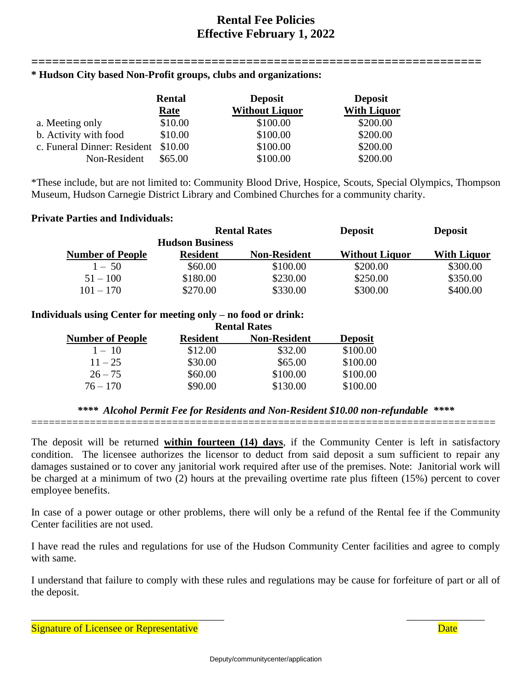### **Rental Fee Policies Effective February 1, 2022**

#### **================================================================= \* Hudson City based Non-Profit groups, clubs and organizations:**

|                                     | <b>Rental</b> | <b>Deposit</b>        | <b>Deposit</b>     |
|-------------------------------------|---------------|-----------------------|--------------------|
|                                     | Rate          | <b>Without Liquor</b> | <b>With Liquor</b> |
| a. Meeting only                     | \$10.00       | \$100.00              | \$200.00           |
| b. Activity with food               | \$10.00       | \$100.00              | \$200.00           |
| c. Funeral Dinner: Resident \$10.00 |               | \$100.00              | \$200.00           |
| Non-Resident                        | \$65.00       | \$100.00              | \$200.00           |

\*These include, but are not limited to: Community Blood Drive, Hospice, Scouts, Special Olympics, Thompson Museum, Hudson Carnegie District Library and Combined Churches for a community charity.

#### **Private Parties and Individuals:**

|                         | <b>Rental Rates</b>    |                     | <b>Deposit</b>        | <b>Deposit</b>     |
|-------------------------|------------------------|---------------------|-----------------------|--------------------|
|                         | <b>Hudson Business</b> |                     |                       |                    |
| <b>Number of People</b> | <b>Resident</b>        | <b>Non-Resident</b> | <b>Without Liquor</b> | <b>With Liquor</b> |
| $1 - 50$                | \$60.00                | \$100.00            | \$200.00              | \$300.00           |
| $51 - 100$              | \$180.00               | \$230.00            | \$250.00              | \$350.00           |
| $101 - 170$             | \$270.00               | \$330.00            | \$300.00              | \$400.00           |

#### **Individuals using Center for meeting only – no food or drink:**

|                         | <b>Rental Rates</b> |                     |                |
|-------------------------|---------------------|---------------------|----------------|
| <b>Number of People</b> | <b>Resident</b>     | <b>Non-Resident</b> | <b>Deposit</b> |
| $1 - 10$                | \$12.00             | \$32.00             | \$100.00       |
| $11 - 25$               | \$30.00             | \$65.00             | \$100.00       |
| $26 - 75$               | \$60.00             | \$100.00            | \$100.00       |
| $76 - 170$              | \$90.00             | \$130.00            | \$100.00       |

#### *\*\*\*\* Alcohol Permit Fee for Residents and Non-Resident \$10.00 non-refundable \*\*\*\** ===============================================================================

The deposit will be returned **within fourteen (14) days**, if the Community Center is left in satisfactory condition. The licensee authorizes the licensor to deduct from said deposit a sum sufficient to repair any damages sustained or to cover any janitorial work required after use of the premises. Note: Janitorial work will be charged at a minimum of two (2) hours at the prevailing overtime rate plus fifteen (15%) percent to cover employee benefits.

In case of a power outage or other problems, there will only be a refund of the Rental fee if the Community Center facilities are not used.

I have read the rules and regulations for use of the Hudson Community Center facilities and agree to comply with same.

I understand that failure to comply with these rules and regulations may be cause for forfeiture of part or all of the deposit.

 $\overline{\phantom{a}}$  , and the contract of the contract of the contract of the contract of the contract of the contract of the contract of the contract of the contract of the contract of the contract of the contract of the contrac

Signature of Licensee or Representative **Date** Date **Date** Date **Date**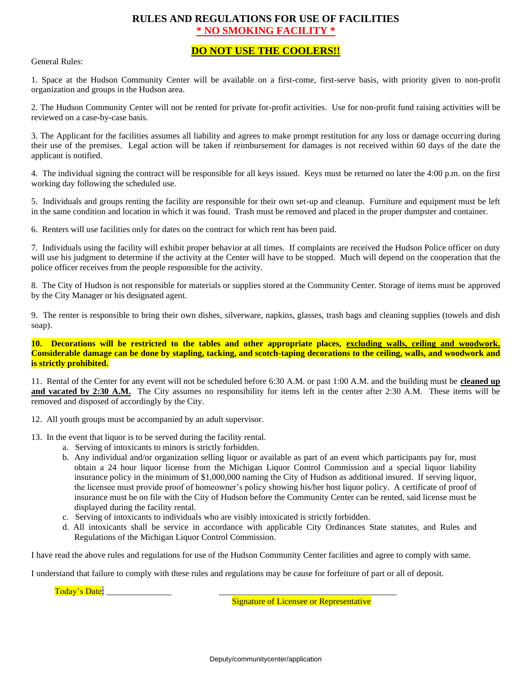#### **RULES AND REGULATIONS FOR USE OF FACILITIES \* NO SMOKING FACILITY \***

#### **DO NOT USE THE COOLERS!!**

General Rules:

1. Space at the Hudson Community Center will be available on a first-come, first-serve basis, with priority given to non-profit organization and groups in the Hudson area.

2. The Hudson Community Center will not be rented for private for-profit activities. Use for non-profit fund raising activities will be reviewed on a case-by-case basis.

3. The Applicant for the facilities assumes all liability and agrees to make prompt restitution for any loss or damage occurring during their use of the premises. Legal action will be taken if reimbursement for damages is not received within 60 days of the date the applicant is notified.

4. The individual signing the contract will be responsible for all keys issued. Keys must be returned no later the 4:00 p.m. on the first working day following the scheduled use.

5. Individuals and groups renting the facility are responsible for their own set-up and cleanup. Furniture and equipment must be left in the same condition and location in which it was found. Trash must be removed and placed in the proper dumpster and container.

6. Renters will use facilities only for dates on the contract for which rent has been paid.

7. Individuals using the facility will exhibit proper behavior at all times. If complaints are received the Hudson Police officer on duty will use his judgment to determine if the activity at the Center will have to be stopped. Much will depend on the cooperation that the police officer receives from the people responsible for the activity.

8. The City of Hudson is not responsible for materials or supplies stored at the Community Center. Storage of items must be approved by the City Manager or his designated agent.

9. The renter is responsible to bring their own dishes, silverware, napkins, glasses, trash bags and cleaning supplies (towels and dish soap).

**10. Decorations will be restricted to the tables and other appropriate places, excluding walls, ceiling and woodwork. Considerable damage can be done by stapling, tacking, and scotch-taping decorations to the ceiling, walls, and woodwork and is strictly prohibited.**

11. Rental of the Center for any event will not be scheduled before 6:30 A.M. or past 1:00 A.M. and the building must be **cleaned up**  and vacated by 2:30 A.M. The City assumes no responsibility for items left in the center after 2:30 A.M. These items will be removed and disposed of accordingly by the City.

12. All youth groups must be accompanied by an adult supervisor.

- 13. In the event that liquor is to be served during the facility rental.
	- a. Serving of intoxicants to minors is strictly forbidden.
	- b. Any individual and/or organization selling liquor or available as part of an event which participants pay for, must obtain a 24 hour liquor license from the Michigan Liquor Control Commission and a special liquor liability insurance policy in the minimum of \$1,000,000 naming the City of Hudson as additional insured. If serving liquor, the licensee must provide proof of homeowner's policy showing his/her host liquor policy. A certificate of proof of insurance must be on file with the City of Hudson before the Community Center can be rented, said license must be displayed during the facility rental.
	- c. Serving of intoxicants to individuals who are visibly intoxicated is strictly forbidden.
	- d. All intoxicants shall be service in accordance with applicable City Ordinances State statutes, and Rules and Regulations of the Michigan Liquor Control Commission.

I have read the above rules and regulations for use of the Hudson Community Center facilities and agree to comply with same.

I understand that failure to comply with these rules and regulations may be cause for forfeiture of part or all of deposit.

Today's Date:

**Signature of Licensee or Representative**